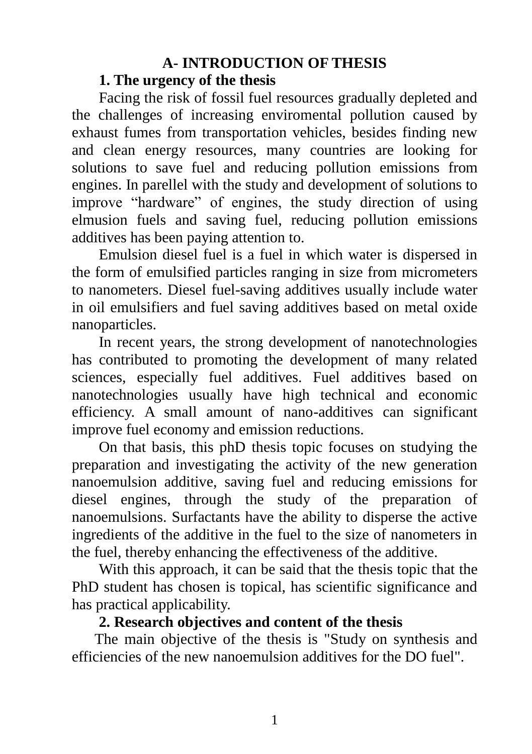### **A- INTRODUCTION OF THESIS**

#### **1. The urgency of the thesis**

Facing the risk of fossil fuel resources gradually depleted and the challenges of increasing enviromental pollution caused by exhaust fumes from transportation vehicles, besides finding new and clean energy resources, many countries are looking for solutions to save fuel and reducing pollution emissions from engines. In parellel with the study and development of solutions to improve "hardware" of engines, the study direction of using elmusion fuels and saving fuel, reducing pollution emissions additives has been paying attention to.

Emulsion diesel fuel is a fuel in which water is dispersed in the form of emulsified particles ranging in size from micrometers to nanometers. Diesel fuel-saving additives usually include water in oil emulsifiers and fuel saving additives based on metal oxide nanoparticles.

In recent years, the strong development of nanotechnologies has contributed to promoting the development of many related sciences, especially fuel additives. Fuel additives based on nanotechnologies usually have high technical and economic efficiency. A small amount of nano-additives can significant improve fuel economy and emission reductions.

On that basis, this phD thesis topic focuses on studying the preparation and investigating the activity of the new generation nanoemulsion additive, saving fuel and reducing emissions for diesel engines, through the study of the preparation of nanoemulsions. Surfactants have the ability to disperse the active ingredients of the additive in the fuel to the size of nanometers in the fuel, thereby enhancing the effectiveness of the additive.

With this approach, it can be said that the thesis topic that the PhD student has chosen is topical, has scientific significance and has practical applicability.

### **2. Research objectives and content of the thesis**

The main objective of the thesis is "Study on synthesis and efficiencies of the new nanoemulsion additives for the DO fuel".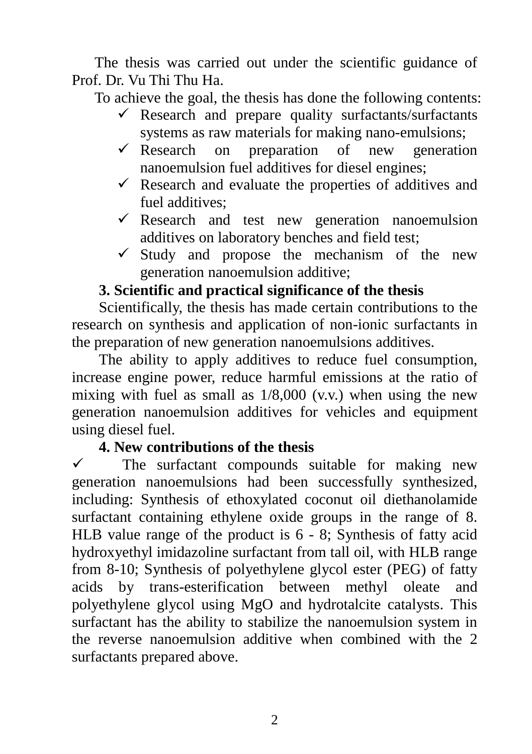The thesis was carried out under the scientific guidance of Prof. Dr. Vu Thi Thu Ha.

To achieve the goal, the thesis has done the following contents:

- $\checkmark$  Research and prepare quality surfactants/surfactants systems as raw materials for making nano-emulsions;
- $\checkmark$  Research on preparation of new generation nanoemulsion fuel additives for diesel engines;
- $\checkmark$  Research and evaluate the properties of additives and fuel additives;
- $\checkmark$  Research and test new generation nanoemulsion additives on laboratory benches and field test;
- $\checkmark$  Study and propose the mechanism of the new generation nanoemulsion additive;

# **3. Scientific and practical significance of the thesis**

Scientifically, the thesis has made certain contributions to the research on synthesis and application of non-ionic surfactants in the preparation of new generation nanoemulsions additives.

The ability to apply additives to reduce fuel consumption, increase engine power, reduce harmful emissions at the ratio of mixing with fuel as small as 1/8,000 (v.v.) when using the new generation nanoemulsion additives for vehicles and equipment using diesel fuel.

#### **4. New contributions of the thesis**

 $\checkmark$  The surfactant compounds suitable for making new generation nanoemulsions had been successfully synthesized, including: Synthesis of ethoxylated coconut oil diethanolamide surfactant containing ethylene oxide groups in the range of 8. HLB value range of the product is 6 - 8; Synthesis of fatty acid hydroxyethyl imidazoline surfactant from tall oil, with HLB range from 8-10; Synthesis of polyethylene glycol ester (PEG) of fatty acids by trans-esterification between methyl oleate and polyethylene glycol using MgO and hydrotalcite catalysts. This surfactant has the ability to stabilize the nanoemulsion system in the reverse nanoemulsion additive when combined with the 2 surfactants prepared above.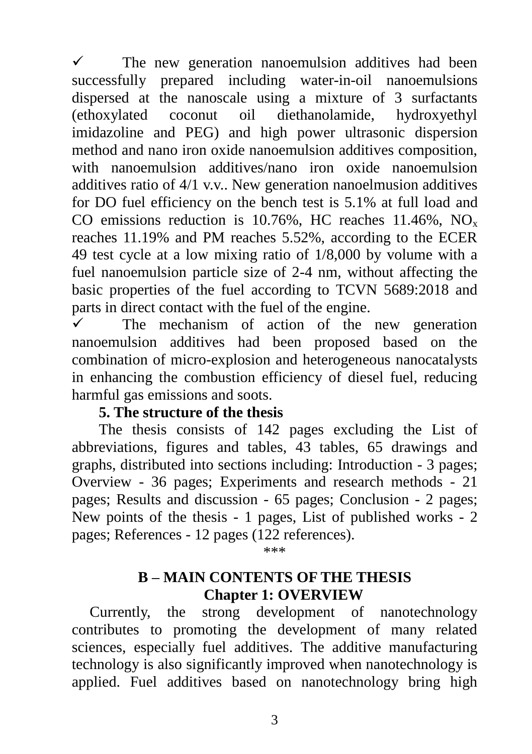$\checkmark$  The new generation nanoemulsion additives had been successfully prepared including water-in-oil nanoemulsions dispersed at the nanoscale using a mixture of 3 surfactants (ethoxylated coconut oil diethanolamide, hydroxyethyl imidazoline and PEG) and high power ultrasonic dispersion method and nano iron oxide nanoemulsion additives composition, with nanoemulsion additives/nano iron oxide nanoemulsion additives ratio of 4/1 v.v.. New generation nanoelmusion additives for DO fuel efficiency on the bench test is 5.1% at full load and CO emissions reduction is 10.76%, HC reaches  $11.46\%$ , NO<sub>x</sub> reaches 11.19% and PM reaches 5.52%, according to the ECER 49 test cycle at a low mixing ratio of 1/8,000 by volume with a fuel nanoemulsion particle size of 2-4 nm, without affecting the basic properties of the fuel according to TCVN 5689:2018 and parts in direct contact with the fuel of the engine.

 $\checkmark$  The mechanism of action of the new generation nanoemulsion additives had been proposed based on the combination of micro-explosion and heterogeneous nanocatalysts in enhancing the combustion efficiency of diesel fuel, reducing harmful gas emissions and soots.

#### **5. The structure of the thesis**

The thesis consists of 142 pages excluding the List of abbreviations, figures and tables, 43 tables, 65 drawings and graphs, distributed into sections including: Introduction - 3 pages; Overview - 36 pages; Experiments and research methods - 21 pages; Results and discussion - 65 pages; Conclusion - 2 pages; New points of the thesis - 1 pages, List of published works - 2 pages; References - 12 pages (122 references).

\*\*\*

### **B – MAIN CONTENTS OF THE THESIS Chapter 1: OVERVIEW**

Currently, the strong development of nanotechnology contributes to promoting the development of many related sciences, especially fuel additives. The additive manufacturing technology is also significantly improved when nanotechnology is applied. Fuel additives based on nanotechnology bring high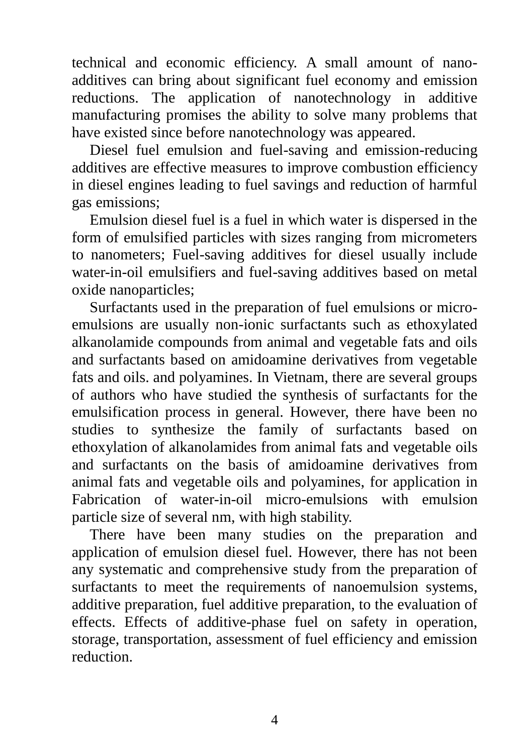technical and economic efficiency. A small amount of nanoadditives can bring about significant fuel economy and emission reductions. The application of nanotechnology in additive manufacturing promises the ability to solve many problems that have existed since before nanotechnology was appeared.

Diesel fuel emulsion and fuel-saving and emission-reducing additives are effective measures to improve combustion efficiency in diesel engines leading to fuel savings and reduction of harmful gas emissions;

Emulsion diesel fuel is a fuel in which water is dispersed in the form of emulsified particles with sizes ranging from micrometers to nanometers; Fuel-saving additives for diesel usually include water-in-oil emulsifiers and fuel-saving additives based on metal oxide nanoparticles;

Surfactants used in the preparation of fuel emulsions or microemulsions are usually non-ionic surfactants such as ethoxylated alkanolamide compounds from animal and vegetable fats and oils and surfactants based on amidoamine derivatives from vegetable fats and oils. and polyamines. In Vietnam, there are several groups of authors who have studied the synthesis of surfactants for the emulsification process in general. However, there have been no studies to synthesize the family of surfactants based on ethoxylation of alkanolamides from animal fats and vegetable oils and surfactants on the basis of amidoamine derivatives from animal fats and vegetable oils and polyamines, for application in Fabrication of water-in-oil micro-emulsions with emulsion particle size of several nm, with high stability.

There have been many studies on the preparation and application of emulsion diesel fuel. However, there has not been any systematic and comprehensive study from the preparation of surfactants to meet the requirements of nanoemulsion systems, additive preparation, fuel additive preparation, to the evaluation of effects. Effects of additive-phase fuel on safety in operation, storage, transportation, assessment of fuel efficiency and emission reduction.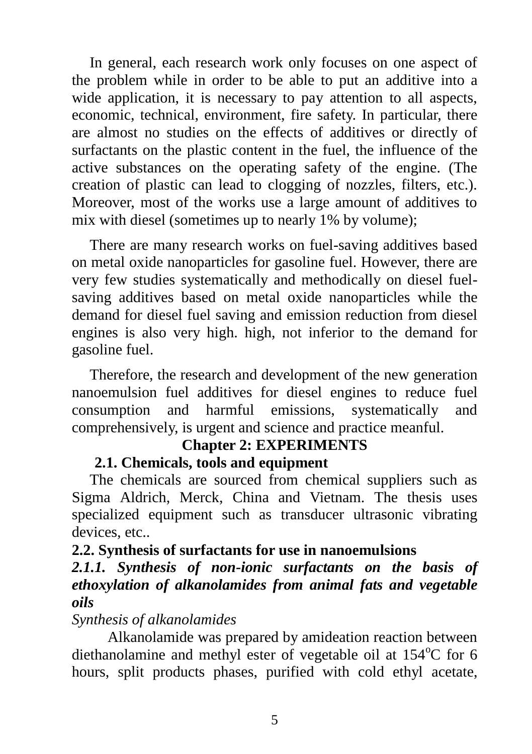In general, each research work only focuses on one aspect of the problem while in order to be able to put an additive into a wide application, it is necessary to pay attention to all aspects, economic, technical, environment, fire safety. In particular, there are almost no studies on the effects of additives or directly of surfactants on the plastic content in the fuel, the influence of the active substances on the operating safety of the engine. (The creation of plastic can lead to clogging of nozzles, filters, etc.). Moreover, most of the works use a large amount of additives to mix with diesel (sometimes up to nearly 1% by volume);

There are many research works on fuel-saving additives based on metal oxide nanoparticles for gasoline fuel. However, there are very few studies systematically and methodically on diesel fuelsaving additives based on metal oxide nanoparticles while the demand for diesel fuel saving and emission reduction from diesel engines is also very high. high, not inferior to the demand for gasoline fuel.

Therefore, the research and development of the new generation nanoemulsion fuel additives for diesel engines to reduce fuel consumption and harmful emissions, systematically and comprehensively, is urgent and science and practice meanful.

# **Chapter 2: EXPERIMENTS**

#### **2.1. Chemicals, tools and equipment**

The chemicals are sourced from chemical suppliers such as Sigma Aldrich, Merck, China and Vietnam. The thesis uses specialized equipment such as transducer ultrasonic vibrating devices, etc..

### **2.2. Synthesis of surfactants for use in nanoemulsions**

### *2.1.1. Synthesis of non-ionic surfactants on the basis of ethoxylation of alkanolamides from animal fats and vegetable oils*

*Synthesis of alkanolamides*

Alkanolamide was prepared by amideation reaction between diethanolamine and methyl ester of vegetable oil at  $154^{\circ}$ C for 6 hours, split products phases, purified with cold ethyl acetate,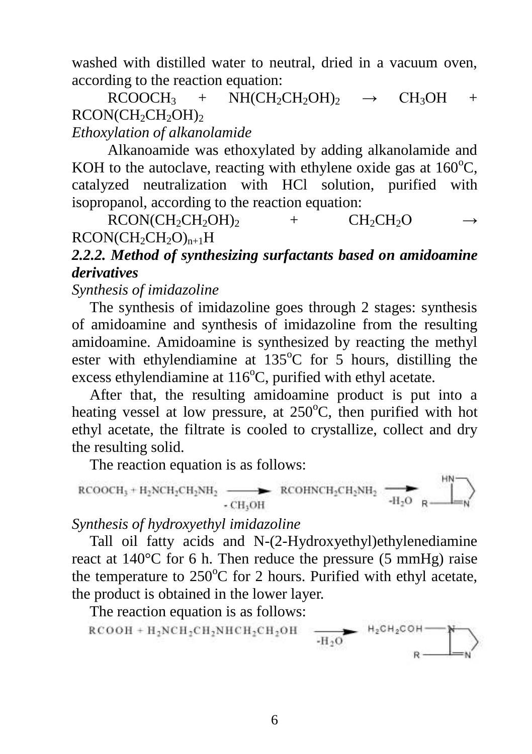washed with distilled water to neutral, dried in a vacuum oven, according to the reaction equation:

 $RCOOCH_3$  +  $NH(CH_2CH_2OH)$ <sub>2</sub>  $\rightarrow CH_3OH$  + RCON(CH<sub>2</sub>CH<sub>2</sub>OH)<sub>2</sub>

# *Ethoxylation of alkanolamide*

Alkanoamide was ethoxylated by adding alkanolamide and KOH to the autoclave, reacting with ethylene oxide gas at  $160^{\circ}$ C, catalyzed neutralization with HCl solution, purified with isopropanol, according to the reaction equation:

 $RCON(CH_2CH_2OH)$ <sub>2</sub> +  $CH_2CH_2OH$  $RCON(CH_2CH_2O)_{n+1}H$ 

# *2.2.2. Method of synthesizing surfactants based on amidoamine derivatives*

*Synthesis of imidazoline*

The synthesis of imidazoline goes through 2 stages: synthesis of amidoamine and synthesis of imidazoline from the resulting amidoamine. Amidoamine is synthesized by reacting the methyl ester with ethylendiamine at  $135^{\circ}$ C for 5 hours, distilling the excess ethylendiamine at  $116^{\circ}$ C, purified with ethyl acetate.

After that, the resulting amidoamine product is put into a heating vessel at low pressure, at  $250^{\circ}$ C, then purified with hot ethyl acetate, the filtrate is cooled to crystallize, collect and dry the resulting solid.

The reaction equation is as follows:

$$
\text{RCOOCH}_3 + H_2\text{NCH}_2\text{CH}_2\text{NH}_2 \xrightarrow{\text{CH}_3\text{OH}} \text{RCOHNCH}_2\text{CH}_2\text{NH}_2 \xrightarrow{\text{H}_2\text{O}} \text{R} \xrightarrow{\text{H}_2\text{O}} \text{N}
$$

1181.

*Synthesis of hydroxyethyl imidazoline*

Tall oil fatty acids and N-(2-Hydroxyethyl)ethylenediamine react at 140°C for 6 h. Then reduce the pressure (5 mmHg) raise the temperature to  $250^{\circ}$ C for 2 hours. Purified with ethyl acetate, the product is obtained in the lower layer.

The reaction equation is as follows:

$$
\text{RCOOH} + \text{H}_2\text{NCH}_2\text{CH}_2\text{NHCH}_2\text{CH}_2\text{OH} \quad \xrightarrow[\text{-H}_2\text{O}]{\text{H}_2\text{CH}_2\text{COH}} \quad \xrightarrow[\text{R}]{\text{H}_2\text{COH}} \quad \text{N}
$$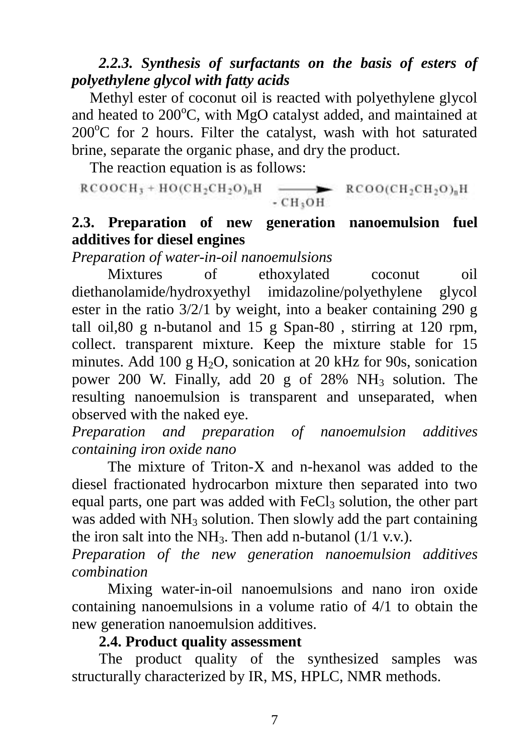### *2.2.3. Synthesis of surfactants on the basis of esters of polyethylene glycol with fatty acids*

Methyl ester of coconut oil is reacted with polyethylene glycol and heated to  $200^{\circ}$ C, with MgO catalyst added, and maintained at  $200^{\circ}$ C for 2 hours. Filter the catalyst, wash with hot saturated brine, separate the organic phase, and dry the product.

The reaction equation is as follows:

$$
\text{RCOOCH}_3 + \text{HO}(\text{CH}_2\text{CH}_2\text{O})_n\text{H} \xrightarrow{\bullet} \text{RCOO}(\text{CH}_2\text{CH}_2\text{O})_n\text{H}
$$

### **2.3. Preparation of new generation nanoemulsion fuel additives for diesel engines**

*Preparation of water-in-oil nanoemulsions*

Mixtures of ethoxylated coconut oil diethanolamide/hydroxyethyl imidazoline/polyethylene glycol ester in the ratio 3/2/1 by weight, into a beaker containing 290 g tall oil,80 g n-butanol and 15 g Span-80 , stirring at 120 rpm, collect. transparent mixture. Keep the mixture stable for 15 minutes. Add 100 g  $H_2O$ , sonication at 20 kHz for 90s, sonication power 200 W. Finally, add 20 g of 28%  $NH_3$  solution. The resulting nanoemulsion is transparent and unseparated, when observed with the naked eye.

*Preparation and preparation of nanoemulsion additives containing iron oxide nano*

The mixture of Triton-X and n-hexanol was added to the diesel fractionated hydrocarbon mixture then separated into two equal parts, one part was added with  $FeCl<sub>3</sub>$  solution, the other part was added with  $NH_3$  solution. Then slowly add the part containing the iron salt into the NH<sub>3</sub>. Then add n-butanol  $(1/1 \text{ v.v.})$ .

*Preparation of the new generation nanoemulsion additives combination*

Mixing water-in-oil nanoemulsions and nano iron oxide containing nanoemulsions in a volume ratio of 4/1 to obtain the new generation nanoemulsion additives.

#### **2.4. Product quality assessment**

The product quality of the synthesized samples was structurally characterized by IR, MS, HPLC, NMR methods.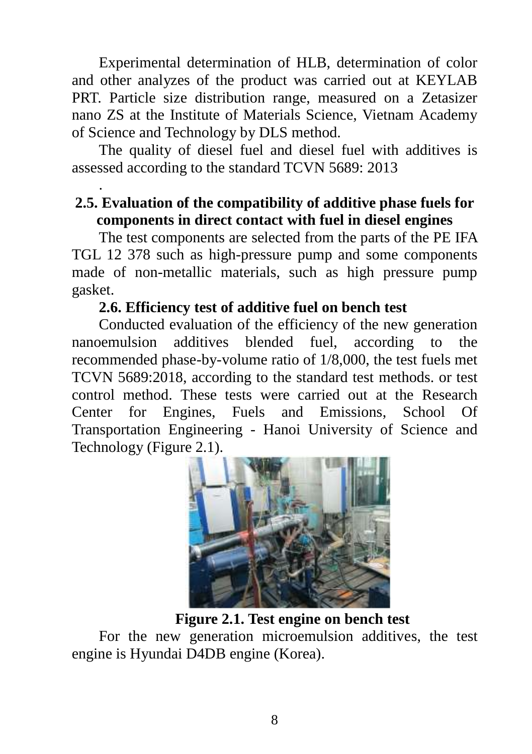Experimental determination of HLB, determination of color and other analyzes of the product was carried out at KEYLAB PRT. Particle size distribution range, measured on a Zetasizer nano ZS at the Institute of Materials Science, Vietnam Academy of Science and Technology by DLS method.

The quality of diesel fuel and diesel fuel with additives is assessed according to the standard TCVN 5689: 2013

### **2.5. Evaluation of the compatibility of additive phase fuels for components in direct contact with fuel in diesel engines**

The test components are selected from the parts of the PE IFA TGL 12 378 such as high-pressure pump and some components made of non-metallic materials, such as high pressure pump gasket.

### **2.6. Efficiency test of additive fuel on bench test**

.

Conducted evaluation of the efficiency of the new generation nanoemulsion additives blended fuel, according to the recommended phase-by-volume ratio of 1/8,000, the test fuels met TCVN 5689:2018, according to the standard test methods. or test control method. These tests were carried out at the Research Center for Engines, Fuels and Emissions, School Of Transportation Engineering - Hanoi University of Science and Technology (Figure 2.1).



**Figure 2.1. Test engine on bench test**

For the new generation microemulsion additives, the test engine is Hyundai D4DB engine (Korea).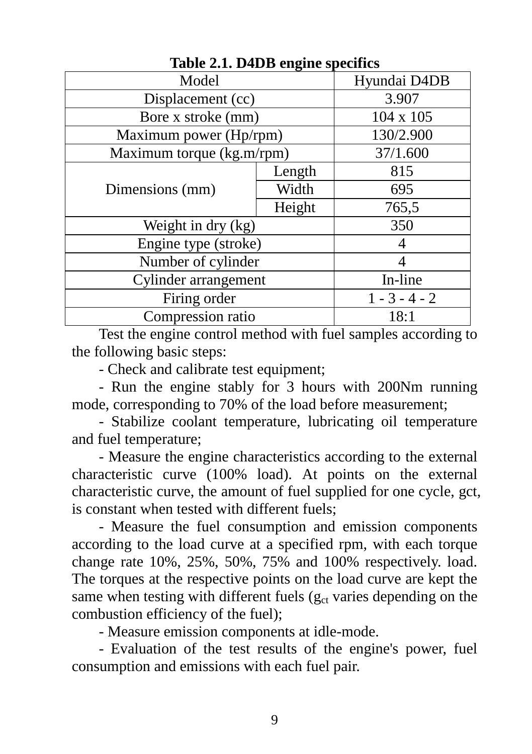| Model                     |                    | Hyundai D4DB    |  |
|---------------------------|--------------------|-----------------|--|
| Displacement (cc)         |                    | 3.907           |  |
| Bore x stroke (mm)        |                    | 104 x 105       |  |
| Maximum power (Hp/rpm)    |                    | 130/2.900       |  |
| Maximum torque (kg.m/rpm) |                    | 37/1.600        |  |
| Dimensions (mm)           | Length             | 815             |  |
|                           | Width              | 695             |  |
|                           | Height             | 765,5           |  |
|                           | Weight in dry (kg) |                 |  |
| Engine type (stroke)      |                    |                 |  |
| Number of cylinder        |                    |                 |  |
| Cylinder arrangement      |                    | In-line         |  |
| Firing order              |                    | $1 - 3 - 4 - 2$ |  |
| Compression ratio         |                    | 18:1            |  |

**Table 2.1. D4DB engine specifics**

Test the engine control method with fuel samples according to the following basic steps:

- Check and calibrate test equipment;

- Run the engine stably for 3 hours with 200Nm running mode, corresponding to 70% of the load before measurement;

- Stabilize coolant temperature, lubricating oil temperature and fuel temperature;

- Measure the engine characteristics according to the external characteristic curve (100% load). At points on the external characteristic curve, the amount of fuel supplied for one cycle, gct, is constant when tested with different fuels;

- Measure the fuel consumption and emission components according to the load curve at a specified rpm, with each torque change rate 10%, 25%, 50%, 75% and 100% respectively. load. The torques at the respective points on the load curve are kept the same when testing with different fuels ( $g_{ct}$  varies depending on the combustion efficiency of the fuel);

- Measure emission components at idle-mode.

- Evaluation of the test results of the engine's power, fuel consumption and emissions with each fuel pair.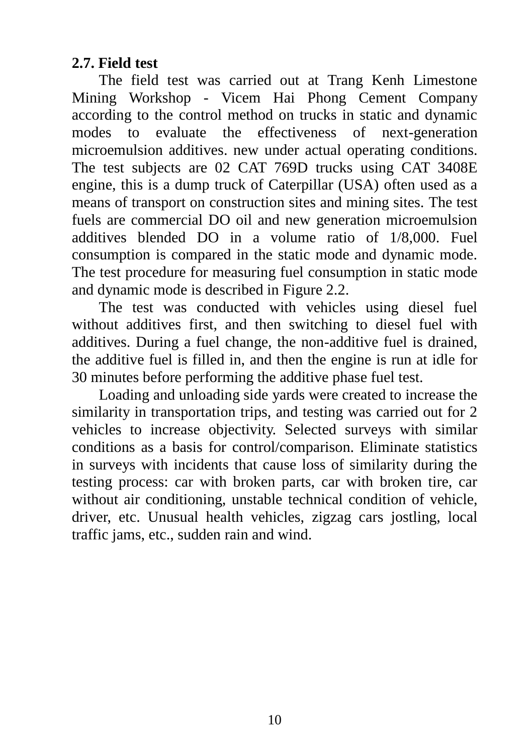### **2.7. Field test**

The field test was carried out at Trang Kenh Limestone Mining Workshop - Vicem Hai Phong Cement Company according to the control method on trucks in static and dynamic modes to evaluate the effectiveness of next-generation microemulsion additives. new under actual operating conditions. The test subjects are 02 CAT 769D trucks using CAT 3408E engine, this is a dump truck of Caterpillar (USA) often used as a means of transport on construction sites and mining sites. The test fuels are commercial DO oil and new generation microemulsion additives blended DO in a volume ratio of 1/8,000. Fuel consumption is compared in the static mode and dynamic mode. The test procedure for measuring fuel consumption in static mode and dynamic mode is described in Figure 2.2.

The test was conducted with vehicles using diesel fuel without additives first, and then switching to diesel fuel with additives. During a fuel change, the non-additive fuel is drained, the additive fuel is filled in, and then the engine is run at idle for 30 minutes before performing the additive phase fuel test.

Loading and unloading side yards were created to increase the similarity in transportation trips, and testing was carried out for 2 vehicles to increase objectivity. Selected surveys with similar conditions as a basis for control/comparison. Eliminate statistics in surveys with incidents that cause loss of similarity during the testing process: car with broken parts, car with broken tire, car without air conditioning, unstable technical condition of vehicle, driver, etc. Unusual health vehicles, zigzag cars jostling, local traffic jams, etc., sudden rain and wind.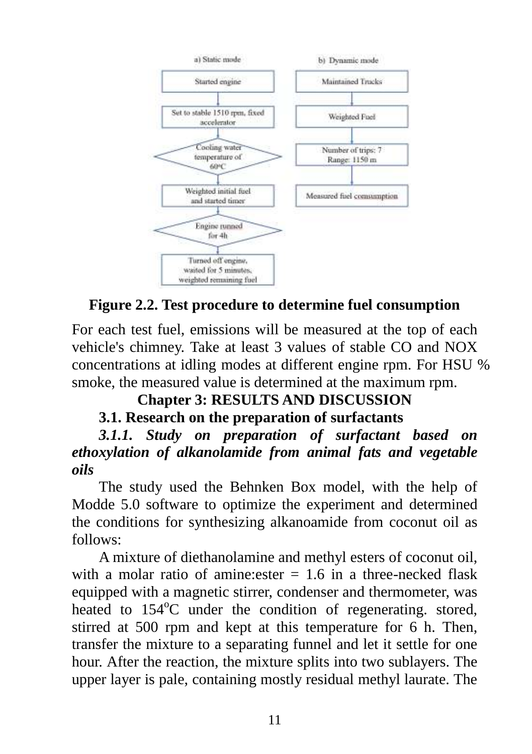

# **Figure 2.2. Test procedure to determine fuel consumption**

For each test fuel, emissions will be measured at the top of each vehicle's chimney. Take at least 3 values of stable CO and NOX concentrations at idling modes at different engine rpm. For HSU % smoke, the measured value is determined at the maximum rpm.

# **Chapter 3: RESULTS AND DISCUSSION**

# **3.1. Research on the preparation of surfactants**

*3.1.1. Study on preparation of surfactant based on ethoxylation of alkanolamide from animal fats and vegetable oils*

The study used the Behnken Box model, with the help of Modde 5.0 software to optimize the experiment and determined the conditions for synthesizing alkanoamide from coconut oil as follows:

A mixture of diethanolamine and methyl esters of coconut oil, with a molar ratio of amine: ester  $= 1.6$  in a three-necked flask equipped with a magnetic stirrer, condenser and thermometer, was heated to  $154^{\circ}$ C under the condition of regenerating. stored, stirred at 500 rpm and kept at this temperature for 6 h. Then, transfer the mixture to a separating funnel and let it settle for one hour. After the reaction, the mixture splits into two sublayers. The upper layer is pale, containing mostly residual methyl laurate. The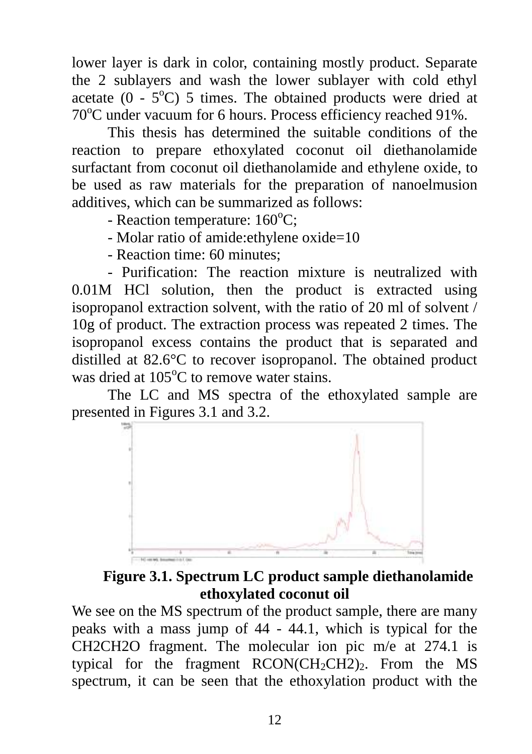lower layer is dark in color, containing mostly product. Separate the 2 sublayers and wash the lower sublayer with cold ethyl acetate  $(0 - 5^{\circ}\text{C})$  5 times. The obtained products were dried at  $70^{\circ}$ C under vacuum for 6 hours. Process efficiency reached 91%.

This thesis has determined the suitable conditions of the reaction to prepare ethoxylated coconut oil diethanolamide surfactant from coconut oil diethanolamide and ethylene oxide, to be used as raw materials for the preparation of nanoelmusion additives, which can be summarized as follows:

- Reaction temperature:  $160^{\circ}$ C;

- Molar ratio of amide:ethylene oxide=10
- Reaction time: 60 minutes;

- Purification: The reaction mixture is neutralized with 0.01M HCl solution, then the product is extracted using isopropanol extraction solvent, with the ratio of 20 ml of solvent / 10g of product. The extraction process was repeated 2 times. The isopropanol excess contains the product that is separated and distilled at 82.6°C to recover isopropanol. The obtained product was dried at  $105^{\circ}$ C to remove water stains.

The LC and MS spectra of the ethoxylated sample are presented in Figures 3.1 and 3.2.



**Figure 3.1. Spectrum LC product sample diethanolamide ethoxylated coconut oil**

We see on the MS spectrum of the product sample, there are many peaks with a mass jump of 44 - 44.1, which is typical for the CH2CH2O fragment. The molecular ion pic m/e at 274.1 is typical for the fragment  $RCON(CH_2CH_2)$ . From the MS spectrum, it can be seen that the ethoxylation product with the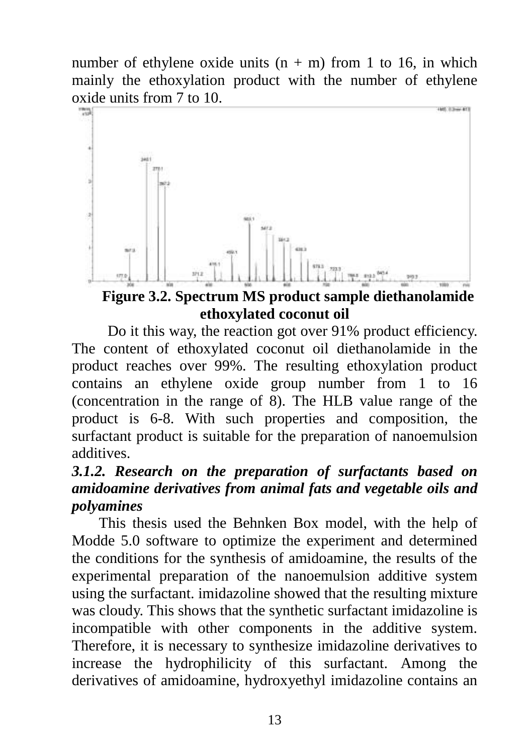number of ethylene oxide units  $(n + m)$  from 1 to 16, in which mainly the ethoxylation product with the number of ethylene oxide units from 7 to 10.



**Figure 3.2. Spectrum MS product sample diethanolamide ethoxylated coconut oil**

Do it this way, the reaction got over 91% product efficiency. The content of ethoxylated coconut oil diethanolamide in the product reaches over 99%. The resulting ethoxylation product contains an ethylene oxide group number from 1 to 16 (concentration in the range of 8). The HLB value range of the product is 6-8. With such properties and composition, the surfactant product is suitable for the preparation of nanoemulsion additives.

# *3.1.2. Research on the preparation of surfactants based on amidoamine derivatives from animal fats and vegetable oils and polyamines*

This thesis used the Behnken Box model, with the help of Modde 5.0 software to optimize the experiment and determined the conditions for the synthesis of amidoamine, the results of the experimental preparation of the nanoemulsion additive system using the surfactant. imidazoline showed that the resulting mixture was cloudy. This shows that the synthetic surfactant imidazoline is incompatible with other components in the additive system. Therefore, it is necessary to synthesize imidazoline derivatives to increase the hydrophilicity of this surfactant. Among the derivatives of amidoamine, hydroxyethyl imidazoline contains an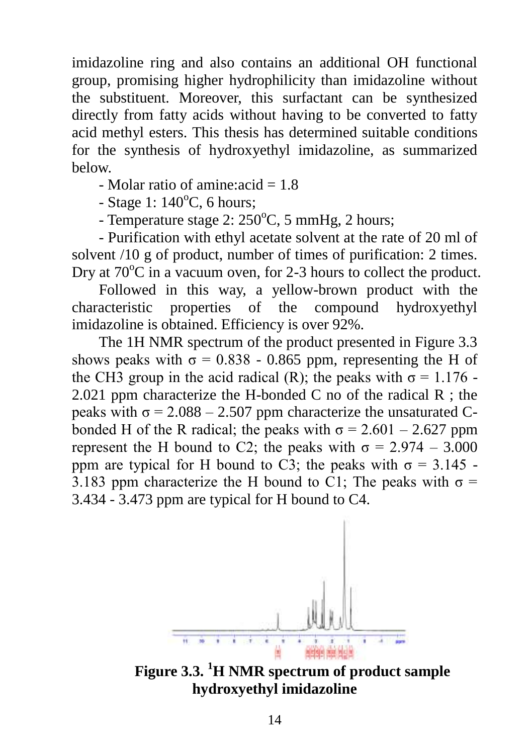imidazoline ring and also contains an additional OH functional group, promising higher hydrophilicity than imidazoline without the substituent. Moreover, this surfactant can be synthesized directly from fatty acids without having to be converted to fatty acid methyl esters. This thesis has determined suitable conditions for the synthesis of hydroxyethyl imidazoline, as summarized below.

- Molar ratio of amine:  $acid = 1.8$ 

 $-$  Stage 1: 140 $\degree$ C, 6 hours;

- Temperature stage  $2: 250^{\circ}$ C, 5 mmHg, 2 hours;

- Purification with ethyl acetate solvent at the rate of 20 ml of solvent /10 g of product, number of times of purification: 2 times. Dry at  $70^{\circ}$ C in a vacuum oven, for 2-3 hours to collect the product.

Followed in this way, a yellow-brown product with the characteristic properties of the compound hydroxyethyl imidazoline is obtained. Efficiency is over 92%.

The 1H NMR spectrum of the product presented in Figure 3.3 shows peaks with  $\sigma = 0.838 - 0.865$  ppm, representing the H of the CH3 group in the acid radical (R); the peaks with  $\sigma = 1.176$ . 2.021 ppm characterize the H-bonded C no of the radical  $R$ ; the peaks with  $\sigma = 2.088 - 2.507$  ppm characterize the unsaturated Cbonded H of the R radical; the peaks with  $\sigma = 2.601 - 2.627$  ppm represent the H bound to C2; the peaks with  $\sigma = 2.974 - 3.000$ ppm are typical for H bound to C3; the peaks with  $\sigma = 3.145$ . 3.183 ppm characterize the H bound to C1; The peaks with  $\sigma$  = 3.434 - 3.473 ppm are typical for H bound to C4.



**Figure 3.3. <sup>1</sup>H NMR spectrum of product sample hydroxyethyl imidazoline**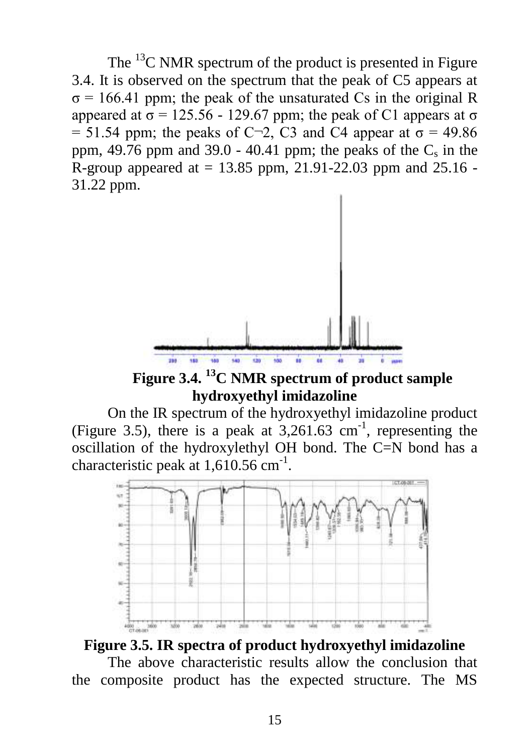The  $^{13}$ C NMR spectrum of the product is presented in Figure 3.4. It is observed on the spectrum that the peak of C5 appears at  $\sigma$  = 166.41 ppm; the peak of the unsaturated Cs in the original R appeared at  $\sigma$  = 125.56 - 129.67 ppm; the peak of C1 appears at σ = 51.54 ppm; the peaks of C $-2$ , C3 and C4 appear at  $\sigma$  = 49.86 ppm, 49.76 ppm and 39.0 - 40.41 ppm; the peaks of the  $C_s$  in the R-group appeared at  $= 13.85$  ppm, 21.91-22.03 ppm and 25.16 -31.22 ppm.



**Figure 3.4. <sup>13</sup>C NMR spectrum of product sample hydroxyethyl imidazoline**

On the IR spectrum of the hydroxyethyl imidazoline product (Figure 3.5), there is a peak at  $3,261.63$  cm<sup>-1</sup>, representing the oscillation of the hydroxylethyl OH bond. The C=N bond has a characteristic peak at  $1,610.56$  cm<sup>-1</sup>.



#### **Figure 3.5. IR spectra of product hydroxyethyl imidazoline**

The above characteristic results allow the conclusion that the composite product has the expected structure. The MS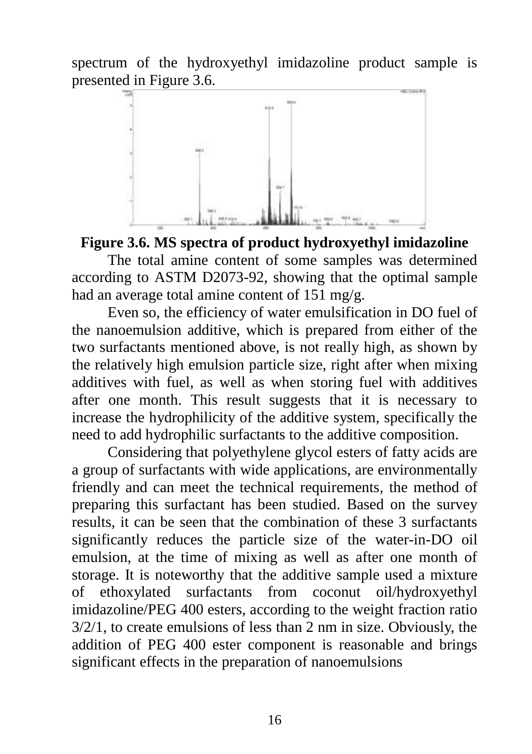spectrum of the hydroxyethyl imidazoline product sample is presented in Figure 3.6.



#### **Figure 3.6. MS spectra of product hydroxyethyl imidazoline**

The total amine content of some samples was determined according to ASTM D2073-92, showing that the optimal sample had an average total amine content of 151 mg/g.

Even so, the efficiency of water emulsification in DO fuel of the nanoemulsion additive, which is prepared from either of the two surfactants mentioned above, is not really high, as shown by the relatively high emulsion particle size, right after when mixing additives with fuel, as well as when storing fuel with additives after one month. This result suggests that it is necessary to increase the hydrophilicity of the additive system, specifically the need to add hydrophilic surfactants to the additive composition.

Considering that polyethylene glycol esters of fatty acids are a group of surfactants with wide applications, are environmentally friendly and can meet the technical requirements, the method of preparing this surfactant has been studied. Based on the survey results, it can be seen that the combination of these 3 surfactants significantly reduces the particle size of the water-in-DO oil emulsion, at the time of mixing as well as after one month of storage. It is noteworthy that the additive sample used a mixture of ethoxylated surfactants from coconut oil/hydroxyethyl imidazoline/PEG 400 esters, according to the weight fraction ratio 3/2/1, to create emulsions of less than 2 nm in size. Obviously, the addition of PEG 400 ester component is reasonable and brings significant effects in the preparation of nanoemulsions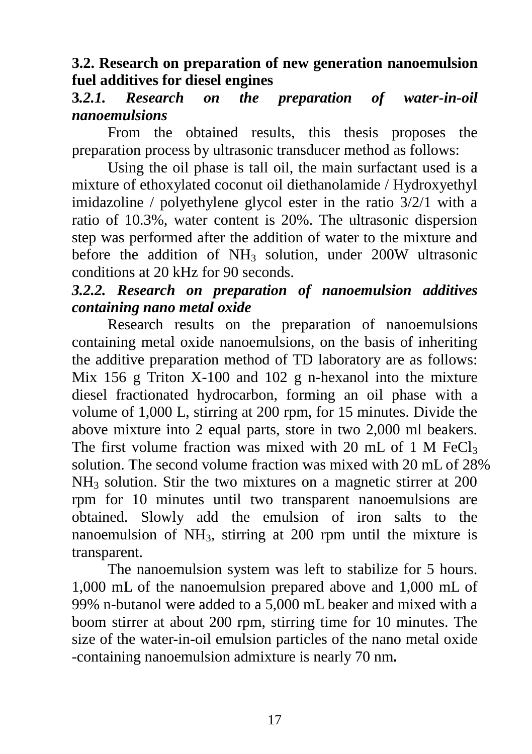### **3.2. Research on preparation of new generation nanoemulsion fuel additives for diesel engines**

### **3***.2.1. Research on the preparation of water-in-oil nanoemulsions*

From the obtained results, this thesis proposes the preparation process by ultrasonic transducer method as follows:

Using the oil phase is tall oil, the main surfactant used is a mixture of ethoxylated coconut oil diethanolamide / Hydroxyethyl imidazoline / polyethylene glycol ester in the ratio 3/2/1 with a ratio of 10.3%, water content is 20%. The ultrasonic dispersion step was performed after the addition of water to the mixture and before the addition of  $NH_3$  solution, under 200W ultrasonic conditions at 20 kHz for 90 seconds.

# *3.2.2. Research on preparation of nanoemulsion additives containing nano metal oxide*

Research results on the preparation of nanoemulsions containing metal oxide nanoemulsions, on the basis of inheriting the additive preparation method of TD laboratory are as follows: Mix 156 g Triton X-100 and 102 g n-hexanol into the mixture diesel fractionated hydrocarbon, forming an oil phase with a volume of 1,000 L, stirring at 200 rpm, for 15 minutes. Divide the above mixture into 2 equal parts, store in two 2,000 ml beakers. The first volume fraction was mixed with 20 mL of 1 M FeCl<sub>3</sub> solution. The second volume fraction was mixed with 20 mL of 28% NH<sup>3</sup> solution. Stir the two mixtures on a magnetic stirrer at 200 rpm for 10 minutes until two transparent nanoemulsions are obtained. Slowly add the emulsion of iron salts to the nanoemulsion of NH3, stirring at 200 rpm until the mixture is transparent.

The nanoemulsion system was left to stabilize for 5 hours. 1,000 mL of the nanoemulsion prepared above and 1,000 mL of 99% n-butanol were added to a 5,000 mL beaker and mixed with a boom stirrer at about 200 rpm, stirring time for 10 minutes. The size of the water-in-oil emulsion particles of the nano metal oxide -containing nanoemulsion admixture is nearly 70 nm*.*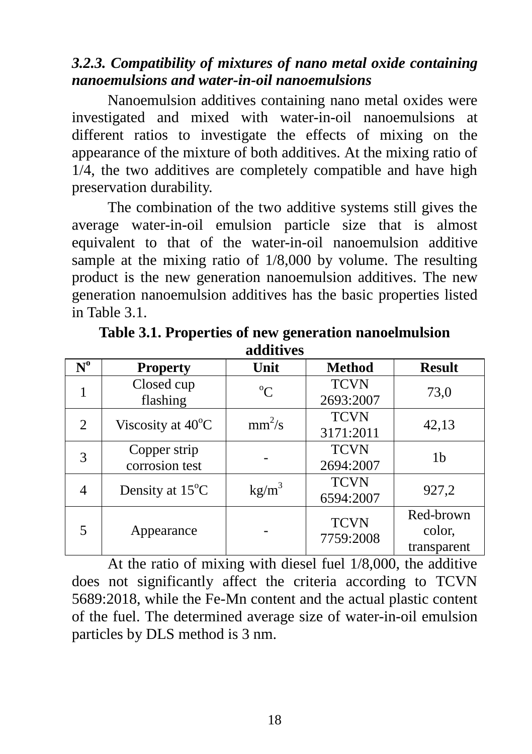### *3.2.3. Compatibility of mixtures of nano metal oxide containing nanoemulsions and water-in-oil nanoemulsions*

Nanoemulsion additives containing nano metal oxides were investigated and mixed with water-in-oil nanoemulsions at different ratios to investigate the effects of mixing on the appearance of the mixture of both additives. At the mixing ratio of 1/4, the two additives are completely compatible and have high preservation durability.

The combination of the two additive systems still gives the average water-in-oil emulsion particle size that is almost equivalent to that of the water-in-oil nanoemulsion additive sample at the mixing ratio of 1/8,000 by volume. The resulting product is the new generation nanoemulsion additives. The new generation nanoemulsion additives has the basic properties listed in Table 3.1.

| $N^{\mathrm{o}}$ | <b>Property</b>                | Unit            | <b>Method</b> | <b>Result</b> |  |
|------------------|--------------------------------|-----------------|---------------|---------------|--|
|                  | Closed cup                     | $^{\circ}C$     | <b>TCVN</b>   | 73,0          |  |
|                  | flashing                       |                 | 2693:2007     |               |  |
| 2                | Viscosity at 40°C              | $mm^2/s$        | <b>TCVN</b>   | 42,13         |  |
|                  |                                |                 | 3171:2011     |               |  |
| 3                | Copper strip<br>corrosion test |                 | <b>TCVN</b>   | 1b            |  |
|                  |                                |                 | 2694:2007     |               |  |
| 4                | Density at 15°C                | $\text{kg/m}^3$ | <b>TCVN</b>   | 927,2         |  |
|                  |                                |                 | 6594:2007     |               |  |
|                  |                                |                 | <b>TCVN</b>   | Red-brown     |  |
| 5                | Appearance                     |                 | 7759:2008     | color,        |  |
|                  |                                |                 |               | transparent   |  |

**Table 3.1. Properties of new generation nanoelmulsion additives**

At the ratio of mixing with diesel fuel 1/8,000, the additive does not significantly affect the criteria according to TCVN 5689:2018, while the Fe-Mn content and the actual plastic content of the fuel. The determined average size of water-in-oil emulsion particles by DLS method is 3 nm.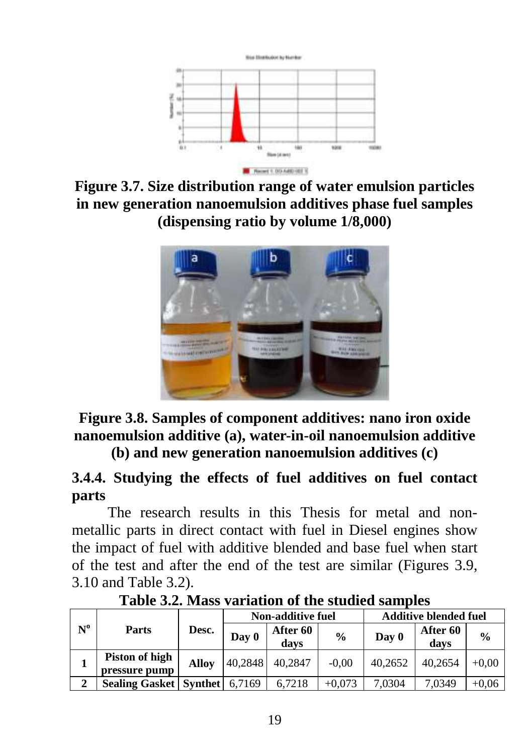

**Figure 3.7. Size distribution range of water emulsion particles in new generation nanoemulsion additives phase fuel samples (dispensing ratio by volume 1/8,000)**



**Figure 3.8. Samples of component additives: nano iron oxide nanoemulsion additive (a), water-in-oil nanoemulsion additive (b) and new generation nanoemulsion additives (c)**

**3.4.4. Studying the effects of fuel additives on fuel contact parts**

The research results in this Thesis for metal and nonmetallic parts in direct contact with fuel in Diesel engines show the impact of fuel with additive blended and base fuel when start of the test and after the end of the test are similar (Figures 3.9, 3.10 and Table 3.2).

| $N^{\mathrm{o}}$ | Desc.<br>Parts                    |              | Non-additive fuel |                  |               | <b>Additive blended fuel</b> |                  |               |
|------------------|-----------------------------------|--------------|-------------------|------------------|---------------|------------------------------|------------------|---------------|
|                  |                                   |              | Day 0             | After 60<br>davs | $\frac{0}{0}$ | Day 0                        | After 60<br>davs | $\frac{0}{0}$ |
|                  | Piston of high<br>pressure pump   | <b>Alloy</b> | 40.2848           | 40.2847          | $-0.00$       | 40.2652                      | 40.2654          | $+0.00$       |
| $\mathbf 2$      | <b>Sealing Gasket   Synthet  </b> |              | 6.7169            | 6.7218           | $+0.073$      | 7,0304                       | 7.0349           | $+0.06$       |

**Table 3.2. Mass variation of the studied samples**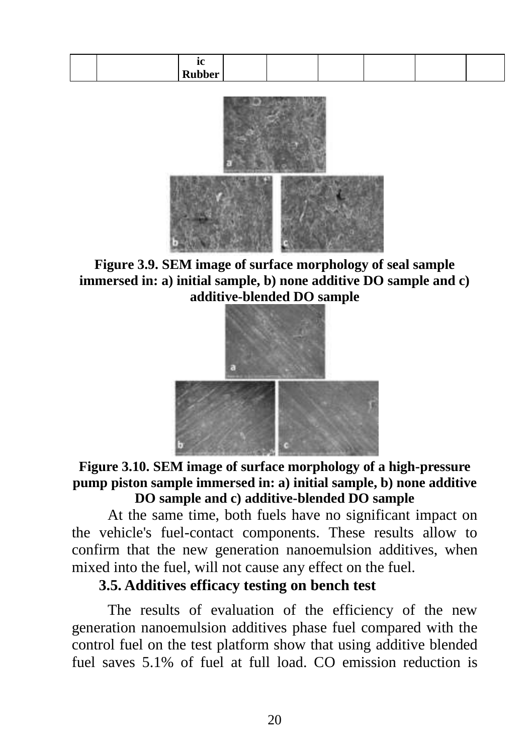| <br>. . |  |  |  |
|---------|--|--|--|
|---------|--|--|--|



**Figure 3.9. SEM image of surface morphology of seal sample immersed in: a) initial sample, b) none additive DO sample and c) additive-blended DO sample**



**Figure 3.10. SEM image of surface morphology of a high-pressure pump piston sample immersed in: a) initial sample, b) none additive DO sample and c) additive-blended DO sample**

At the same time, both fuels have no significant impact on the vehicle's fuel-contact components. These results allow to confirm that the new generation nanoemulsion additives, when mixed into the fuel, will not cause any effect on the fuel.

### **3.5. Additives efficacy testing on bench test**

The results of evaluation of the efficiency of the new generation nanoemulsion additives phase fuel compared with the control fuel on the test platform show that using additive blended fuel saves 5.1% of fuel at full load. CO emission reduction is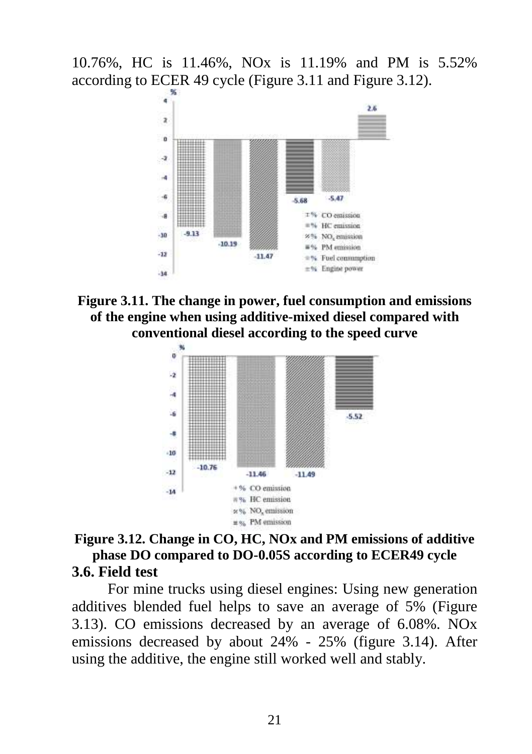10.76%, HC is 11.46%, NOx is 11.19% and PM is 5.52% according to ECER 49 cycle (Figure 3.11 and Figure 3.12).



**Figure 3.11. The change in power, fuel consumption and emissions of the engine when using additive-mixed diesel compared with conventional diesel according to the speed curve**



#### **Figure 3.12. Change in CO, HC, NOx and PM emissions of additive phase DO compared to DO-0.05S according to ECER49 cycle 3.6. Field test**

For mine trucks using diesel engines: Using new generation additives blended fuel helps to save an average of 5% (Figure 3.13). CO emissions decreased by an average of 6.08%. NOx emissions decreased by about 24% - 25% (figure 3.14). After using the additive, the engine still worked well and stably.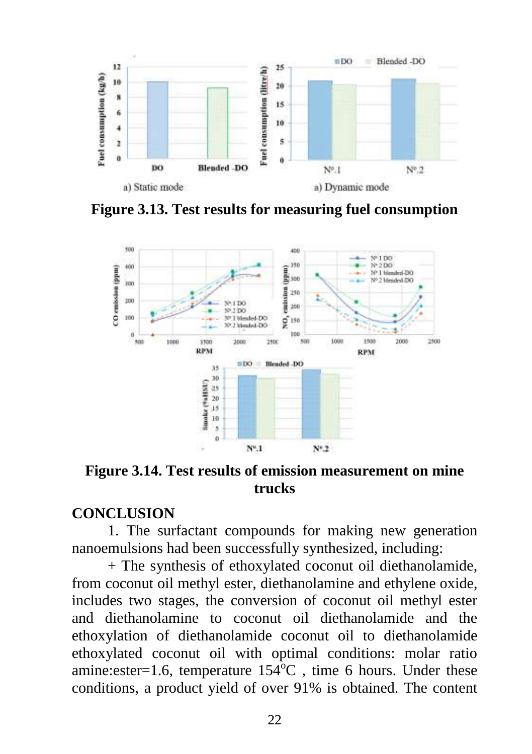

**Figure 3.13. Test results for measuring fuel consumption**



**Figure 3.14. Test results of emission measurement on mine trucks**

### **CONCLUSION**

1. The surfactant compounds for making new generation nanoemulsions had been successfully synthesized, including:

+ The synthesis of ethoxylated coconut oil diethanolamide, from coconut oil methyl ester, diethanolamine and ethylene oxide, includes two stages, the conversion of coconut oil methyl ester and diethanolamine to coconut oil diethanolamide and the ethoxylation of diethanolamide coconut oil to diethanolamide ethoxylated coconut oil with optimal conditions: molar ratio amine: ester=1.6, temperature  $154^{\circ}$ C, time 6 hours. Under these conditions, a product yield of over 91% is obtained. The content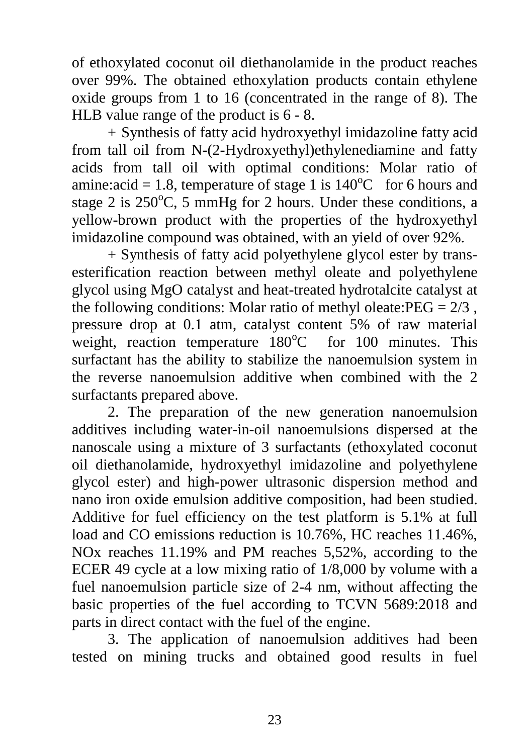of ethoxylated coconut oil diethanolamide in the product reaches over 99%. The obtained ethoxylation products contain ethylene oxide groups from 1 to 16 (concentrated in the range of 8). The HLB value range of the product is 6 - 8.

+ Synthesis of fatty acid hydroxyethyl imidazoline fatty acid from tall oil from N-(2-Hydroxyethyl)ethylenediamine and fatty acids from tall oil with optimal conditions: Molar ratio of amine:acid = 1.8, temperature of stage 1 is  $140^{\circ}$ C for 6 hours and stage 2 is  $250^{\circ}$ C, 5 mmHg for 2 hours. Under these conditions, a yellow-brown product with the properties of the hydroxyethyl imidazoline compound was obtained, with an yield of over 92%.

+ Synthesis of fatty acid polyethylene glycol ester by transesterification reaction between methyl oleate and polyethylene glycol using MgO catalyst and heat-treated hydrotalcite catalyst at the following conditions: Molar ratio of methyl oleate: $PEG = 2/3$ , pressure drop at 0.1 atm, catalyst content 5% of raw material weight, reaction temperature  $180^{\circ}$ C for 100 minutes. This surfactant has the ability to stabilize the nanoemulsion system in the reverse nanoemulsion additive when combined with the 2 surfactants prepared above.

2. The preparation of the new generation nanoemulsion additives including water-in-oil nanoemulsions dispersed at the nanoscale using a mixture of 3 surfactants (ethoxylated coconut oil diethanolamide, hydroxyethyl imidazoline and polyethylene glycol ester) and high-power ultrasonic dispersion method and nano iron oxide emulsion additive composition, had been studied. Additive for fuel efficiency on the test platform is 5.1% at full load and CO emissions reduction is 10.76%, HC reaches 11.46%, NOx reaches 11.19% and PM reaches 5,52%, according to the ECER 49 cycle at a low mixing ratio of 1/8,000 by volume with a fuel nanoemulsion particle size of 2-4 nm, without affecting the basic properties of the fuel according to TCVN 5689:2018 and parts in direct contact with the fuel of the engine.

3. The application of nanoemulsion additives had been tested on mining trucks and obtained good results in fuel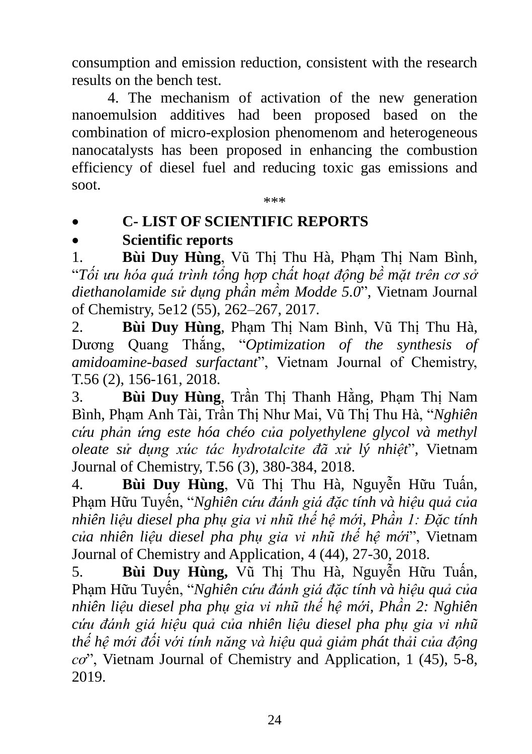consumption and emission reduction, consistent with the research results on the bench test.

4. The mechanism of activation of the new generation nanoemulsion additives had been proposed based on the combination of micro-explosion phenomenom and heterogeneous nanocatalysts has been proposed in enhancing the combustion efficiency of diesel fuel and reducing toxic gas emissions and soot.

\*\*\*

# **C- LIST OF SCIENTIFIC REPORTS**

# **Scientific reports**

1. **Bùi Duy Hùng**, Vũ Thị Thu Hà, Phạm Thị Nam Bình, "*Tối ưu hóa quá trình tổng hợp chất hoạt động bề mặt trên cơ sở diethanolamide sử dụng phần mềm Modde 5.0*", Vietnam Journal of Chemistry, 5e12 (55), 262–267, 2017.

2. **Bùi Duy Hùng**, Phạm Thị Nam Bình, Vũ Thị Thu Hà, Dương Quang Thắng, "*Optimization of the synthesis of amidoamine-based surfactant*", Vietnam Journal of Chemistry, T.56 (2), 156-161, 2018.

3. **Bùi Duy Hùng**, Trần Thị Thanh Hằng, Phạm Thị Nam Bình, Phạm Anh Tài, Trần Thị Như Mai, Vũ Thị Thu Hà, "*Nghiên cứu phản ứng este hóa chéo của polyethylene glycol và methyl oleate sử dụng xúc tác hydrotalcite đã xử lý nhiệt*", Vietnam Journal of Chemistry, T.56 (3), 380-384, 2018.

4. **Bùi Duy Hùng**, Vũ Thị Thu Hà, Nguyễn Hữu Tuấn, Phạm Hữu Tuyến, "*Nghiên cứu đánh giá đặc tính và hiệu quả của nhiên liệu diesel pha phụ gia vi nhũ thế hệ mới, Phần 1: Đặc tính của nhiên liệu diesel pha phụ gia vi nhũ thế hệ mới*", Vietnam Journal of Chemistry and Application, 4 (44), 27-30, 2018.

5. **Bùi Duy Hùng,** Vũ Thị Thu Hà, Nguyễn Hữu Tuấn, Phạm Hữu Tuyến, "*Nghiên cứu đánh giá đặc tính và hiệu quả của nhiên liệu diesel pha phụ gia vi nhũ thế hệ mới, Phần 2: Nghiên cứu đánh giá hiệu quả của nhiên liệu diesel pha phụ gia vi nhũ thế hệ mới đối với tính năng và hiệu quả giảm phát thải của động cơ*", Vietnam Journal of Chemistry and Application, 1 (45), 5-8, 2019.